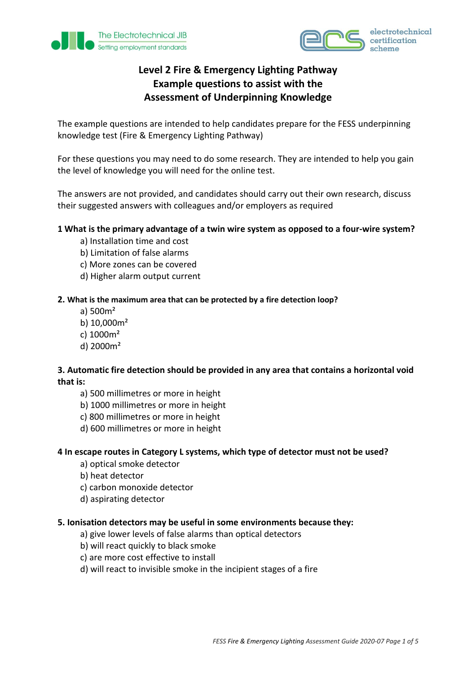



# **Level 2 Fire & Emergency Lighting Pathway Example questions to assist with the Assessment of Underpinning Knowledge**

The example questions are intended to help candidates prepare for the FESS underpinning knowledge test (Fire & Emergency Lighting Pathway)

For these questions you may need to do some research. They are intended to help you gain the level of knowledge you will need for the online test.

The answers are not provided, and candidates should carry out their own research, discuss their suggested answers with colleagues and/or employers as required

### **1 What is the primary advantage of a twin wire system as opposed to a four-wire system?**

- a) Installation time and cost
- b) Limitation of false alarms
- c) More zones can be covered
- d) Higher alarm output current

### **2. What is the maximum area that can be protected by a fire detection loop?**

- a) 500m²
- b) 10,000m²
- c) 1000m²
- d) 2000m²

## **3. Automatic fire detection should be provided in any area that contains a horizontal void that is:**

- a) 500 millimetres or more in height
- b) 1000 millimetres or more in height
- c) 800 millimetres or more in height
- d) 600 millimetres or more in height

### **4 In escape routes in Category L systems, which type of detector must not be used?**

- a) optical smoke detector
- b) heat detector
- c) carbon monoxide detector
- d) aspirating detector

### **5. Ionisation detectors may be useful in some environments because they:**

- a) give lower levels of false alarms than optical detectors
- b) will react quickly to black smoke
- c) are more cost effective to install
- d) will react to invisible smoke in the incipient stages of a fire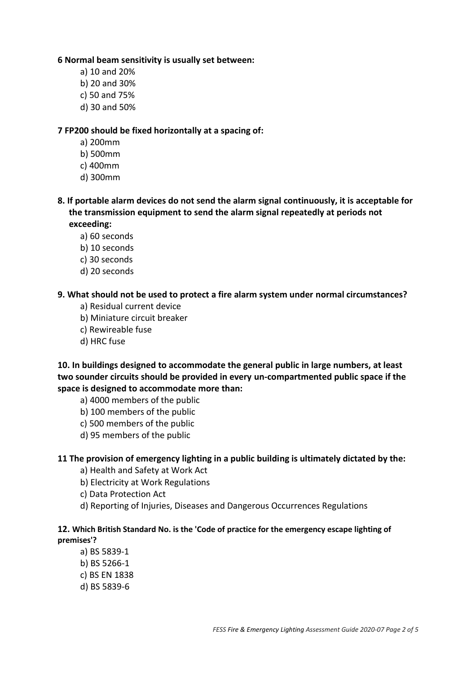#### **6 Normal beam sensitivity is usually set between:**

- a) 10 and 20%
- b) 20 and 30%
- c) 50 and 75%
- d) 30 and 50%

#### **7 FP200 should be fixed horizontally at a spacing of:**

- a) 200mm
- b) 500mm
- c) 400mm
- d) 300mm
- **8. If portable alarm devices do not send the alarm signal continuously, it is acceptable for the transmission equipment to send the alarm signal repeatedly at periods not exceeding:**

a) 60 seconds

- b) 10 seconds
- c) 30 seconds
- d) 20 seconds

#### **9. What should not be used to protect a fire alarm system under normal circumstances?**

- a) Residual current device
- b) Miniature circuit breaker
- c) Rewireable fuse
- d) HRC fuse

**10. In buildings designed to accommodate the general public in large numbers, at least two sounder circuits should be provided in every un-compartmented public space if the space is designed to accommodate more than:**

- a) 4000 members of the public
- b) 100 members of the public
- c) 500 members of the public
- d) 95 members of the public

### **11 The provision of emergency lighting in a public building is ultimately dictated by the:**

- a) Health and Safety at Work Act
- b) Electricity at Work Regulations
- c) Data Protection Act
- d) Reporting of Injuries, Diseases and Dangerous Occurrences Regulations

#### **12. Which British Standard No. is the 'Code of practice for the emergency escape lighting of premises'?**

- a) BS 5839-1
- b) BS 5266-1
- c) BS EN 1838
- d) BS 5839-6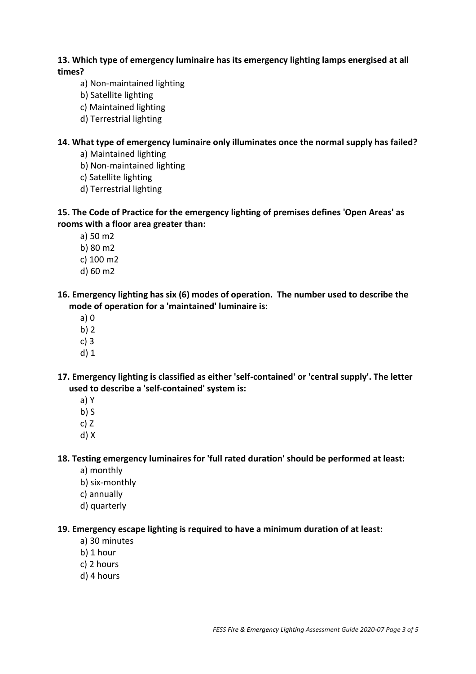# **13. Which type of emergency luminaire has its emergency lighting lamps energised at all times?**

- a) Non-maintained lighting
- b) Satellite lighting
- c) Maintained lighting
- d) Terrestrial lighting

# **14. What type of emergency luminaire only illuminates once the normal supply has failed?**

- a) Maintained lighting
- b) Non-maintained lighting
- c) Satellite lighting
- d) Terrestrial lighting

# **15. The Code of Practice for the emergency lighting of premises defines 'Open Areas' as rooms with a floor area greater than:**

- a) 50 m2
- b) 80 m2
- c) 100 m2
- d) 60 m2

# **16. Emergency lighting has six (6) modes of operation. The number used to describe the mode of operation for a 'maintained' luminaire is:**

- a) 0
- b) 2
- c) 3
- d) 1

## **17. Emergency lighting is classified as either 'self-contained' or 'central supply'. The letter used to describe a 'self-contained' system is:**

- a) Y
- $b)$  S
- c) Z
- d) X

## **18. Testing emergency luminaires for 'full rated duration' should be performed at least:**

- a) monthly
- b) six-monthly
- c) annually
- d) quarterly

## **19. Emergency escape lighting is required to have a minimum duration of at least:**

- a) 30 minutes
- b) 1 hour
- c) 2 hours
- d) 4 hours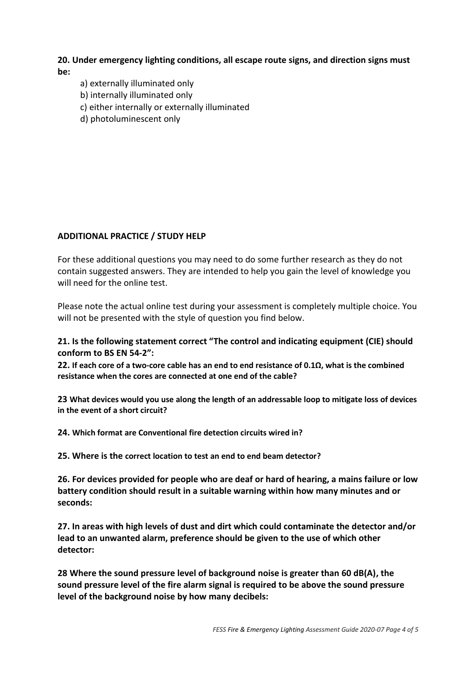### **20. Under emergency lighting conditions, all escape route signs, and direction signs must be:**

- a) externally illuminated only
- b) internally illuminated only
- c) either internally or externally illuminated
- d) photoluminescent only

# **ADDITIONAL PRACTICE / STUDY HELP**

For these additional questions you may need to do some further research as they do not contain suggested answers. They are intended to help you gain the level of knowledge you will need for the online test.

Please note the actual online test during your assessment is completely multiple choice. You will not be presented with the style of question you find below.

## **21. Is the following statement correct "The control and indicating equipment (CIE) should conform to BS EN 54-2":**

**22. If each core of a two-core cable has an end to end resistance of 0.1Ω, what is the combined resistance when the cores are connected at one end of the cable?**

**23 What devices would you use along the length of an addressable loop to mitigate loss of devices in the event of a short circuit?**

**24. Which format are Conventional fire detection circuits wired in?**

**25. Where is the correct location to test an end to end beam detector?**

**26. For devices provided for people who are deaf or hard of hearing, a mains failure or low battery condition should result in a suitable warning within how many minutes and or seconds:** 

**27. In areas with high levels of dust and dirt which could contaminate the detector and/or lead to an unwanted alarm, preference should be given to the use of which other detector:**

**28 Where the sound pressure level of background noise is greater than 60 dB(A), the sound pressure level of the fire alarm signal is required to be above the sound pressure level of the background noise by how many decibels:**